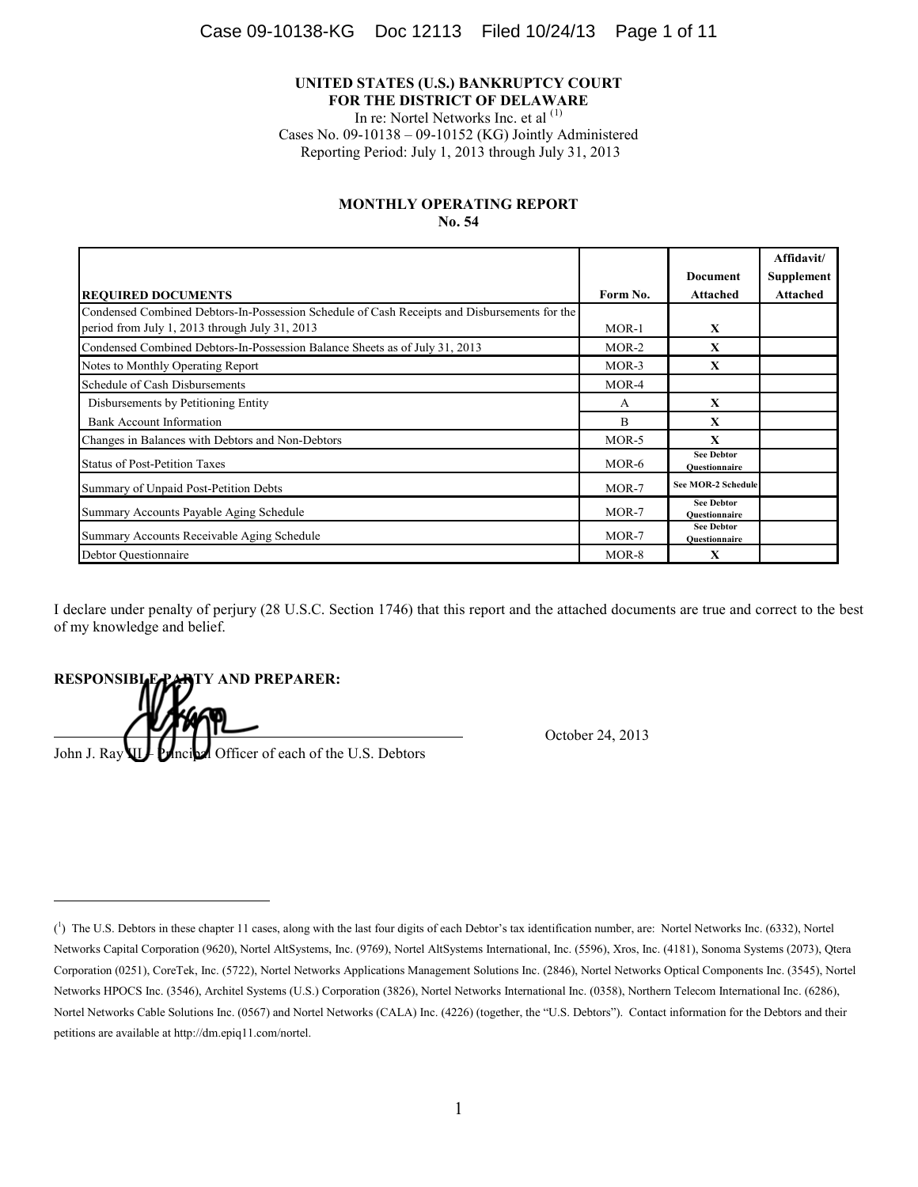#### **UNITED STATES (U.S.) BANKRUPTCY COURT FOR THE DISTRICT OF DELAWARE**

In re: Nortel Networks Inc. et al <sup>(1)</sup>

Cases No. 09-10138 – 09-10152 (KG) Jointly Administered Reporting Period: July 1, 2013 through July 31, 2013

### **MONTHLY OPERATING REPORT No. 54**

|                                                                                                                                                |              |                                           | Affidavit/      |
|------------------------------------------------------------------------------------------------------------------------------------------------|--------------|-------------------------------------------|-----------------|
|                                                                                                                                                |              | <b>Document</b>                           | Supplement      |
| <b>REQUIRED DOCUMENTS</b>                                                                                                                      | Form No.     | Attached                                  | <b>Attached</b> |
| Condensed Combined Debtors-In-Possession Schedule of Cash Receipts and Disbursements for the<br>period from July 1, 2013 through July 31, 2013 | $MOR-1$      | X                                         |                 |
| Condensed Combined Debtors-In-Possession Balance Sheets as of July 31, 2013                                                                    | $MOR-2$      | X                                         |                 |
| Notes to Monthly Operating Report                                                                                                              | $MOR-3$      | X                                         |                 |
| Schedule of Cash Disbursements                                                                                                                 | $MOR-4$      |                                           |                 |
| Disbursements by Petitioning Entity                                                                                                            | $\mathsf{A}$ | X                                         |                 |
| <b>Bank Account Information</b>                                                                                                                | B            | $\mathbf x$                               |                 |
| Changes in Balances with Debtors and Non-Debtors                                                                                               | $MOR-5$      | X                                         |                 |
| <b>Status of Post-Petition Taxes</b>                                                                                                           | MOR-6        | <b>See Debtor</b><br>Ouestionnaire        |                 |
| Summary of Unpaid Post-Petition Debts                                                                                                          | $MOR-7$      | <b>See MOR-2 Schedule</b>                 |                 |
| Summary Accounts Payable Aging Schedule                                                                                                        | MOR-7        | <b>See Debtor</b><br>Ouestionnaire        |                 |
| Summary Accounts Receivable Aging Schedule                                                                                                     | MOR-7        | <b>See Debtor</b><br><b>Ouestionnaire</b> |                 |
| Debtor Questionnaire                                                                                                                           | MOR-8        | X                                         |                 |

I declare under penalty of perjury (28 U.S.C. Section 1746) that this report and the attached documents are true and correct to the best of my knowledge and belief.

**RESPONSIBLE PARTY AND PREPARER:** 

John J. Ray **III.** Principal Officer of each of the U.S. Debtors

I

October 24, 2013

 $(1)$  The U.S. Debtors in these chapter 11 cases, along with the last four digits of each Debtor's tax identification number, are: Nortel Networks Inc. (6332), Nortel Networks Capital Corporation (9620), Nortel AltSystems, Inc. (9769), Nortel AltSystems International, Inc. (5596), Xros, Inc. (4181), Sonoma Systems (2073), Qtera Corporation (0251), CoreTek, Inc. (5722), Nortel Networks Applications Management Solutions Inc. (2846), Nortel Networks Optical Components Inc. (3545), Nortel Networks HPOCS Inc. (3546), Architel Systems (U.S.) Corporation (3826), Nortel Networks International Inc. (0358), Northern Telecom International Inc. (6286), Nortel Networks Cable Solutions Inc. (0567) and Nortel Networks (CALA) Inc. (4226) (together, the "U.S. Debtors"). Contact information for the Debtors and their petitions are available at http://dm.epiq11.com/nortel.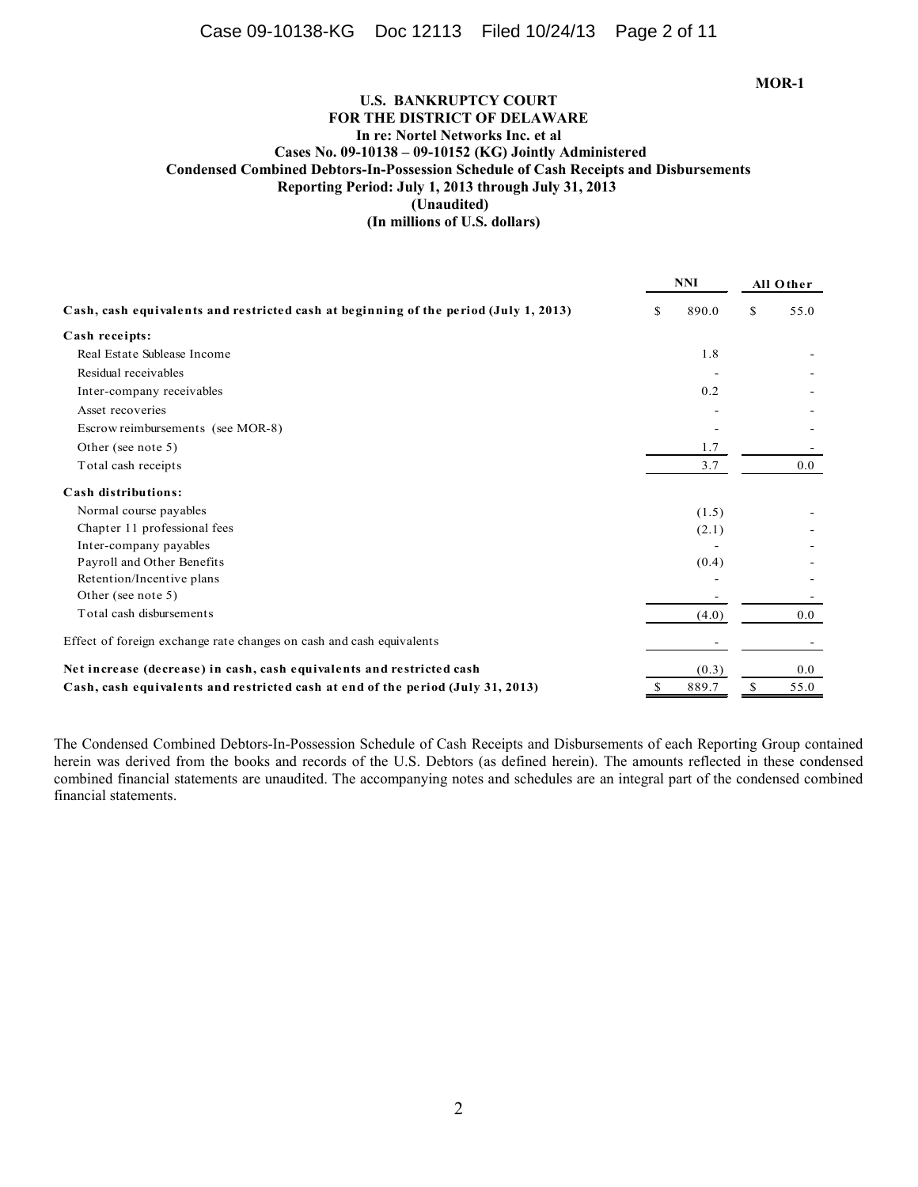## **U.S. BANKRUPTCY COURT FOR THE DISTRICT OF DELAWARE In re: Nortel Networks Inc. et al Cases No. 09-10138 – 09-10152 (KG) Jointly Administered Condensed Combined Debtors-In-Possession Schedule of Cash Receipts and Disbursements Reporting Period: July 1, 2013 through July 31, 2013 (Unaudited) (In millions of U.S. dollars)**

**NNI All O ther Cash, cash equivalents and restricted cash at beginning of the period (July 1, 2013)** \$890.0\$55.0 **Cash receipts:** Real Estate Sublease Income 1.8 - Residual receivables Inter-company receivables 0.2 Asset recoveries and the set of the set of the set of the set of the set of the set of the set of the set of the set of the set of the set of the set of the set of the set of the set of the set of the set of the set of the Escrow reimbursements (see MOR-8) - - Other (see note 5)  $1.7$ Total cash receipts 3.7 0.0 **Cash distributions:** Normal course payables (1.5)  $(1.5)$ Chapter 11 professional fees (2.1)  $(2.1)$ Inter-company payables Payroll and Other Benefits (0.4)  $(0.4)$ Retention/Incentive plans  $\overline{\phantom{a}}$  -Other (see note 5) - - Total cash disbursements (4.0) 0.0 Effect of foreign exchange rate changes on cash and cash equivalents **Net increase (decrease) in cash, cash equivalents and restricted cash** (0.3) 0.0 **Cash, cash equivalents and restricted cash at end of the period (July 31, 2013)** 889.7 \$5.0

The Condensed Combined Debtors-In-Possession Schedule of Cash Receipts and Disbursements of each Reporting Group contained herein was derived from the books and records of the U.S. Debtors (as defined herein). The amounts reflected in these condensed combined financial statements are unaudited. The accompanying notes and schedules are an integral part of the condensed combined financial statements.

2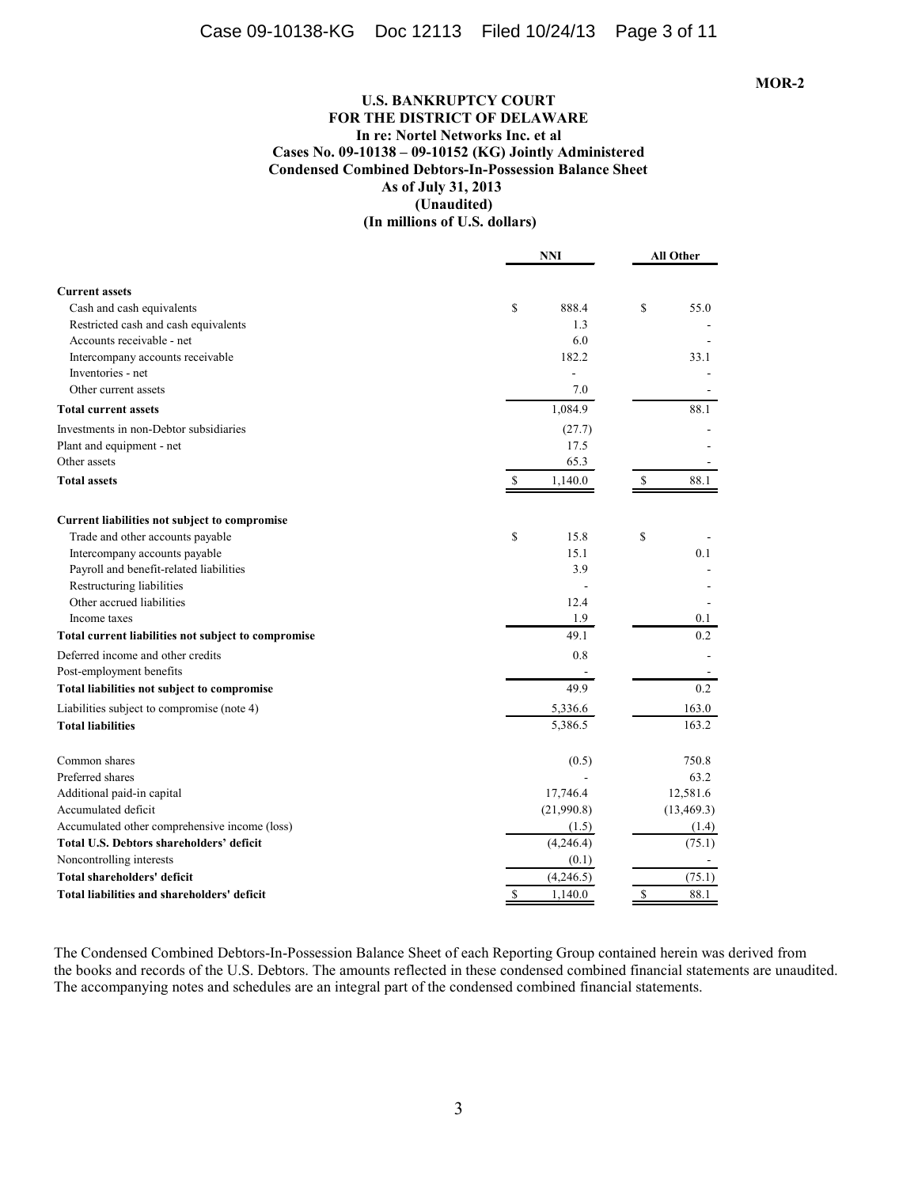## **U.S. BANKRUPTCY COURT FOR THE DISTRICT OF DELAWARE In re: Nortel Networks Inc. et al Cases No. 09-10138 – 09-10152 (KG) Jointly Administered Condensed Combined Debtors-In-Possession Balance Sheet As of July 31, 2013 (Unaudited) (In millions of U.S. dollars)**

|                                                     | <b>NNI</b>               | <b>All Other</b>    |  |
|-----------------------------------------------------|--------------------------|---------------------|--|
| <b>Current assets</b>                               |                          |                     |  |
| Cash and cash equivalents                           | \$<br>888.4              | \$<br>55.0          |  |
| Restricted cash and cash equivalents                | 1.3                      |                     |  |
| Accounts receivable - net                           | 6.0                      |                     |  |
| Intercompany accounts receivable                    | 182.2                    | 33.1                |  |
| Inventories - net                                   |                          |                     |  |
| Other current assets                                | 7.0                      |                     |  |
| <b>Total current assets</b>                         | 1,084.9                  | 88.1                |  |
| Investments in non-Debtor subsidiaries              | (27.7)                   |                     |  |
| Plant and equipment - net                           | 17.5                     |                     |  |
| Other assets                                        | 65.3                     |                     |  |
| <b>Total assets</b>                                 | 1,140.0<br>$\mathcal{S}$ | $\mathbf S$<br>88.1 |  |
| Current liabilities not subject to compromise       |                          |                     |  |
| Trade and other accounts payable                    | \$<br>15.8               | \$                  |  |
| Intercompany accounts payable                       | 15.1                     | 0.1                 |  |
| Payroll and benefit-related liabilities             | 3.9                      |                     |  |
| Restructuring liabilities                           |                          |                     |  |
| Other accrued liabilities                           | 12.4                     |                     |  |
| Income taxes                                        | 1.9                      | 0.1                 |  |
| Total current liabilities not subject to compromise | 49.1                     | 0.2                 |  |
| Deferred income and other credits                   | 0.8                      |                     |  |
| Post-employment benefits                            |                          |                     |  |
| Total liabilities not subject to compromise         | 49.9                     | 0.2                 |  |
| Liabilities subject to compromise (note 4)          | 5,336.6                  | 163.0               |  |
| <b>Total liabilities</b>                            | 5,386.5                  | 163.2               |  |
| Common shares                                       | (0.5)                    | 750.8               |  |
| Preferred shares                                    |                          | 63.2                |  |
| Additional paid-in capital                          | 17,746.4                 | 12,581.6            |  |
| Accumulated deficit                                 | (21,990.8)               | (13, 469.3)         |  |
| Accumulated other comprehensive income (loss)       | (1.5)                    | (1.4)               |  |
| Total U.S. Debtors shareholders' deficit            | (4,246.4)                | (75.1)              |  |
| Noncontrolling interests                            | (0.1)                    |                     |  |
| Total shareholders' deficit                         | (4,246.5)                | (75.1)              |  |
| Total liabilities and shareholders' deficit         | \$<br>1,140.0            | \$<br>88.1          |  |

The Condensed Combined Debtors-In-Possession Balance Sheet of each Reporting Group contained herein was derived from the books and records of the U.S. Debtors. The amounts reflected in these condensed combined financial statements are unaudited. The accompanying notes and schedules are an integral part of the condensed combined financial statements.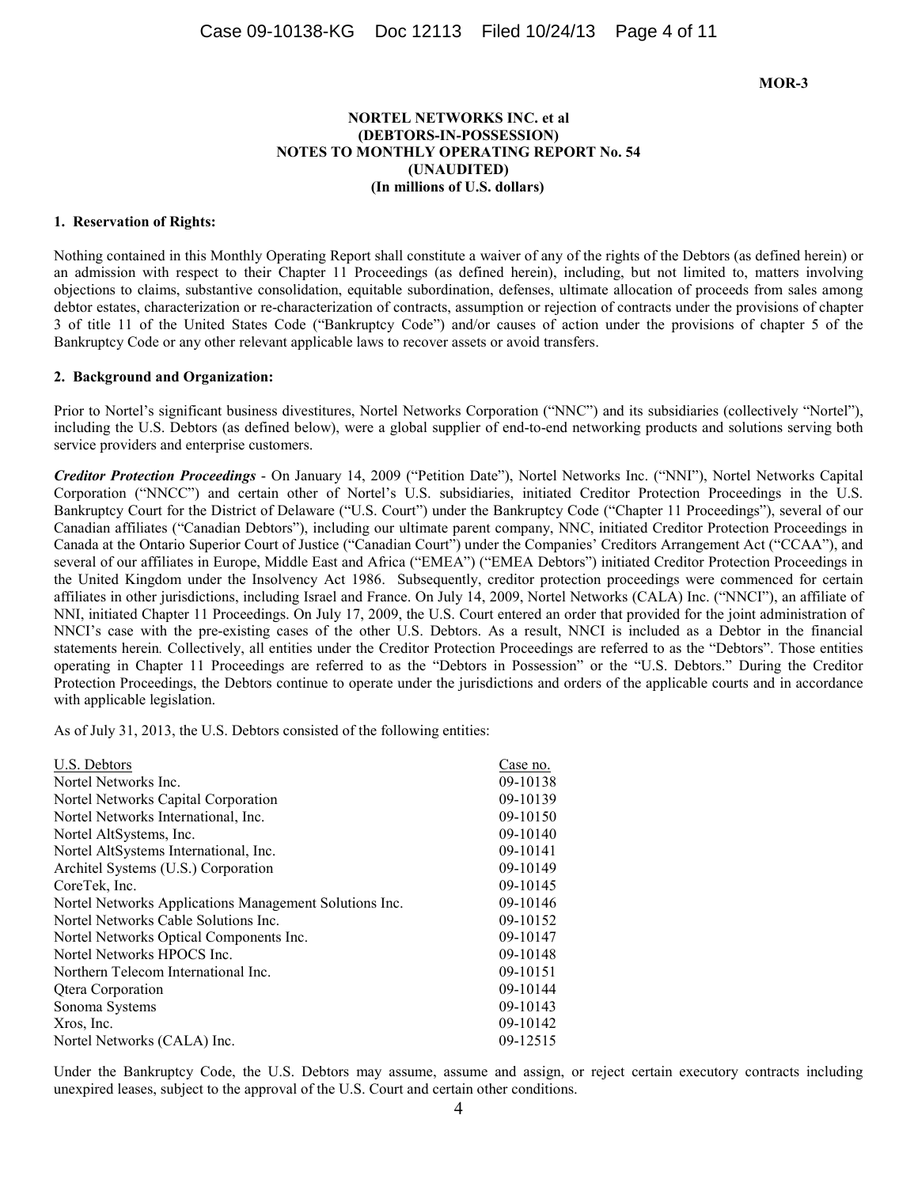### **NORTEL NETWORKS INC. et al (DEBTORS-IN-POSSESSION) NOTES TO MONTHLY OPERATING REPORT No. 54 (UNAUDITED) (In millions of U.S. dollars)**

#### **1. Reservation of Rights:**

Nothing contained in this Monthly Operating Report shall constitute a waiver of any of the rights of the Debtors (as defined herein) or an admission with respect to their Chapter 11 Proceedings (as defined herein), including, but not limited to, matters involving objections to claims, substantive consolidation, equitable subordination, defenses, ultimate allocation of proceeds from sales among debtor estates, characterization or re-characterization of contracts, assumption or rejection of contracts under the provisions of chapter 3 of title 11 of the United States Code ("Bankruptcy Code") and/or causes of action under the provisions of chapter 5 of the Bankruptcy Code or any other relevant applicable laws to recover assets or avoid transfers.

#### **2. Background and Organization:**

Prior to Nortel's significant business divestitures, Nortel Networks Corporation ("NNC") and its subsidiaries (collectively "Nortel"), including the U.S. Debtors (as defined below), were a global supplier of end-to-end networking products and solutions serving both service providers and enterprise customers.

*Creditor Protection Proceedings* - On January 14, 2009 ("Petition Date"), Nortel Networks Inc. ("NNI"), Nortel Networks Capital Corporation ("NNCC") and certain other of Nortel's U.S. subsidiaries, initiated Creditor Protection Proceedings in the U.S. Bankruptcy Court for the District of Delaware ("U.S. Court") under the Bankruptcy Code ("Chapter 11 Proceedings"), several of our Canadian affiliates ("Canadian Debtors"), including our ultimate parent company, NNC, initiated Creditor Protection Proceedings in Canada at the Ontario Superior Court of Justice ("Canadian Court") under the Companies' Creditors Arrangement Act ("CCAA"), and several of our affiliates in Europe, Middle East and Africa ("EMEA") ("EMEA Debtors") initiated Creditor Protection Proceedings in the United Kingdom under the Insolvency Act 1986. Subsequently, creditor protection proceedings were commenced for certain affiliates in other jurisdictions, including Israel and France. On July 14, 2009, Nortel Networks (CALA) Inc. ("NNCI"), an affiliate of NNI, initiated Chapter 11 Proceedings. On July 17, 2009, the U.S. Court entered an order that provided for the joint administration of NNCI's case with the pre-existing cases of the other U.S. Debtors. As a result, NNCI is included as a Debtor in the financial statements herein*.* Collectively, all entities under the Creditor Protection Proceedings are referred to as the "Debtors". Those entities operating in Chapter 11 Proceedings are referred to as the "Debtors in Possession" or the "U.S. Debtors." During the Creditor Protection Proceedings, the Debtors continue to operate under the jurisdictions and orders of the applicable courts and in accordance with applicable legislation.

As of July 31, 2013, the U.S. Debtors consisted of the following entities:

| U.S. Debtors                                           | Case no. |
|--------------------------------------------------------|----------|
| Nortel Networks Inc.                                   | 09-10138 |
| Nortel Networks Capital Corporation                    | 09-10139 |
| Nortel Networks International, Inc.                    | 09-10150 |
| Nortel AltSystems, Inc.                                | 09-10140 |
| Nortel AltSystems International, Inc.                  | 09-10141 |
| Architel Systems (U.S.) Corporation                    | 09-10149 |
| CoreTek, Inc.                                          | 09-10145 |
| Nortel Networks Applications Management Solutions Inc. | 09-10146 |
| Nortel Networks Cable Solutions Inc.                   | 09-10152 |
| Nortel Networks Optical Components Inc.                | 09-10147 |
| Nortel Networks HPOCS Inc.                             | 09-10148 |
| Northern Telecom International Inc.                    | 09-10151 |
| <b>Qtera Corporation</b>                               | 09-10144 |
| Sonoma Systems                                         | 09-10143 |
| Xros, Inc.                                             | 09-10142 |
| Nortel Networks (CALA) Inc.                            | 09-12515 |

Under the Bankruptcy Code, the U.S. Debtors may assume, assume and assign, or reject certain executory contracts including unexpired leases, subject to the approval of the U.S. Court and certain other conditions.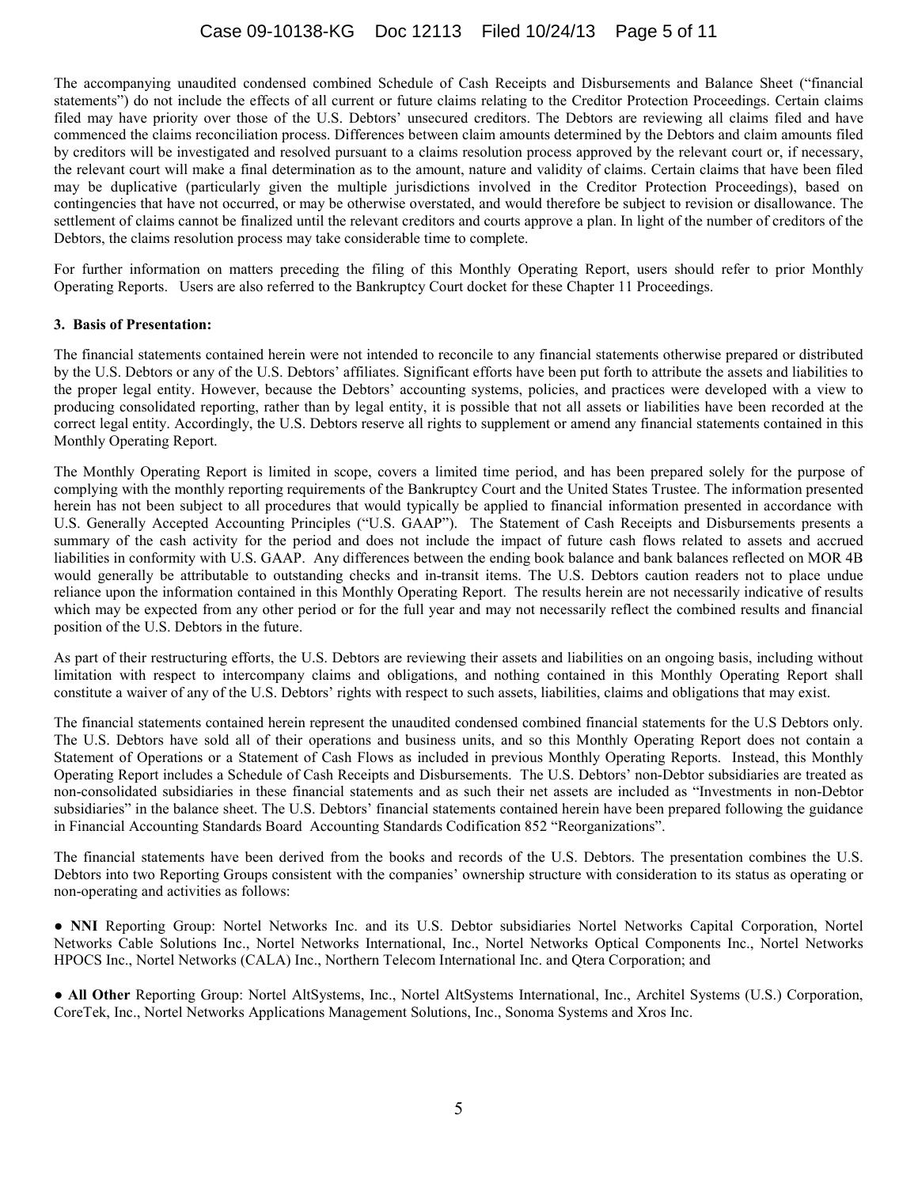The accompanying unaudited condensed combined Schedule of Cash Receipts and Disbursements and Balance Sheet ("financial statements") do not include the effects of all current or future claims relating to the Creditor Protection Proceedings. Certain claims filed may have priority over those of the U.S. Debtors' unsecured creditors. The Debtors are reviewing all claims filed and have commenced the claims reconciliation process. Differences between claim amounts determined by the Debtors and claim amounts filed by creditors will be investigated and resolved pursuant to a claims resolution process approved by the relevant court or, if necessary, the relevant court will make a final determination as to the amount, nature and validity of claims. Certain claims that have been filed may be duplicative (particularly given the multiple jurisdictions involved in the Creditor Protection Proceedings), based on contingencies that have not occurred, or may be otherwise overstated, and would therefore be subject to revision or disallowance. The settlement of claims cannot be finalized until the relevant creditors and courts approve a plan. In light of the number of creditors of the Debtors, the claims resolution process may take considerable time to complete.

For further information on matters preceding the filing of this Monthly Operating Report, users should refer to prior Monthly Operating Reports. Users are also referred to the Bankruptcy Court docket for these Chapter 11 Proceedings.

## **3. Basis of Presentation:**

The financial statements contained herein were not intended to reconcile to any financial statements otherwise prepared or distributed by the U.S. Debtors or any of the U.S. Debtors' affiliates. Significant efforts have been put forth to attribute the assets and liabilities to the proper legal entity. However, because the Debtors' accounting systems, policies, and practices were developed with a view to producing consolidated reporting, rather than by legal entity, it is possible that not all assets or liabilities have been recorded at the correct legal entity. Accordingly, the U.S. Debtors reserve all rights to supplement or amend any financial statements contained in this Monthly Operating Report.

The Monthly Operating Report is limited in scope, covers a limited time period, and has been prepared solely for the purpose of complying with the monthly reporting requirements of the Bankruptcy Court and the United States Trustee. The information presented herein has not been subject to all procedures that would typically be applied to financial information presented in accordance with U.S. Generally Accepted Accounting Principles ("U.S. GAAP"). The Statement of Cash Receipts and Disbursements presents a summary of the cash activity for the period and does not include the impact of future cash flows related to assets and accrued liabilities in conformity with U.S. GAAP. Any differences between the ending book balance and bank balances reflected on MOR 4B would generally be attributable to outstanding checks and in-transit items. The U.S. Debtors caution readers not to place undue reliance upon the information contained in this Monthly Operating Report. The results herein are not necessarily indicative of results which may be expected from any other period or for the full year and may not necessarily reflect the combined results and financial position of the U.S. Debtors in the future.

As part of their restructuring efforts, the U.S. Debtors are reviewing their assets and liabilities on an ongoing basis, including without limitation with respect to intercompany claims and obligations, and nothing contained in this Monthly Operating Report shall constitute a waiver of any of the U.S. Debtors' rights with respect to such assets, liabilities, claims and obligations that may exist.

The financial statements contained herein represent the unaudited condensed combined financial statements for the U.S Debtors only. The U.S. Debtors have sold all of their operations and business units, and so this Monthly Operating Report does not contain a Statement of Operations or a Statement of Cash Flows as included in previous Monthly Operating Reports. Instead, this Monthly Operating Report includes a Schedule of Cash Receipts and Disbursements. The U.S. Debtors' non-Debtor subsidiaries are treated as non-consolidated subsidiaries in these financial statements and as such their net assets are included as "Investments in non-Debtor subsidiaries" in the balance sheet. The U.S. Debtors' financial statements contained herein have been prepared following the guidance in Financial Accounting Standards Board Accounting Standards Codification 852 "Reorganizations".

The financial statements have been derived from the books and records of the U.S. Debtors. The presentation combines the U.S. Debtors into two Reporting Groups consistent with the companies' ownership structure with consideration to its status as operating or non-operating and activities as follows:

Ɣ **NNI** Reporting Group: Nortel Networks Inc. and its U.S. Debtor subsidiaries Nortel Networks Capital Corporation, Nortel Networks Cable Solutions Inc., Nortel Networks International, Inc., Nortel Networks Optical Components Inc., Nortel Networks HPOCS Inc., Nortel Networks (CALA) Inc., Northern Telecom International Inc. and Qtera Corporation; and

Ɣ**All Other** Reporting Group: Nortel AltSystems, Inc., Nortel AltSystems International, Inc., Architel Systems (U.S.) Corporation, CoreTek, Inc., Nortel Networks Applications Management Solutions, Inc., Sonoma Systems and Xros Inc.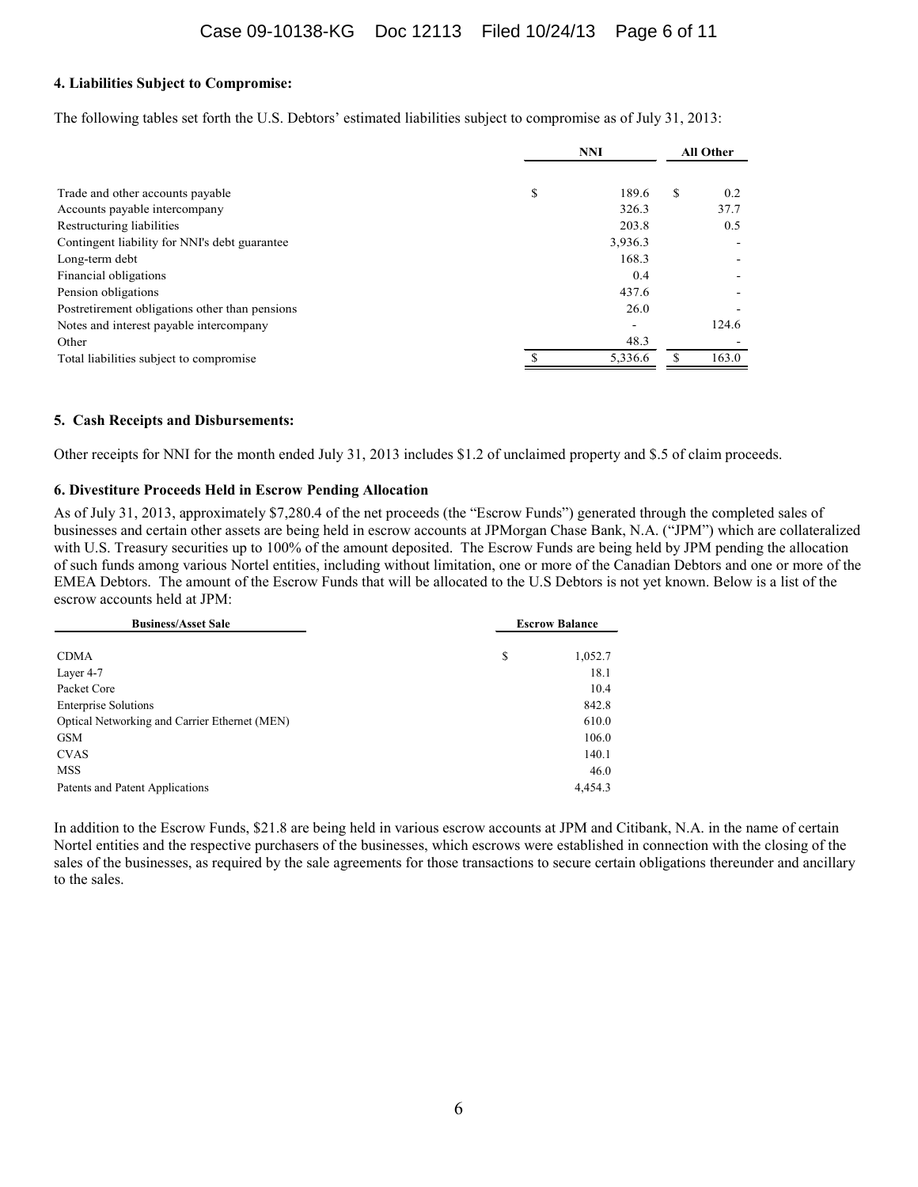## **4. Liabilities Subject to Compromise:**

The following tables set forth the U.S. Debtors' estimated liabilities subject to compromise as of July 31, 2013:

|                                                | <b>NNI</b> |         | <b>All Other</b> |       |
|------------------------------------------------|------------|---------|------------------|-------|
| Trade and other accounts payable               | \$         | 189.6   | S                | 0.2   |
| Accounts payable intercompany                  |            | 326.3   |                  | 37.7  |
| Restructuring liabilities                      |            | 203.8   |                  | 0.5   |
| Contingent liability for NNI's debt guarantee  |            | 3,936.3 |                  |       |
| Long-term debt                                 |            | 168.3   |                  |       |
| Financial obligations                          |            | 0.4     |                  |       |
| Pension obligations                            |            | 437.6   |                  |       |
| Postretirement obligations other than pensions |            | 26.0    |                  |       |
| Notes and interest payable intercompany        |            |         |                  | 124.6 |
| Other                                          |            | 48.3    |                  |       |
| Total liabilities subject to compromise        |            | 5.336.6 |                  | 163.0 |

## **5. Cash Receipts and Disbursements:**

Other receipts for NNI for the month ended July 31, 2013 includes \$1.2 of unclaimed property and \$.5 of claim proceeds.

### **6. Divestiture Proceeds Held in Escrow Pending Allocation**

As of July 31, 2013, approximately \$7,280.4 of the net proceeds (the "Escrow Funds") generated through the completed sales of businesses and certain other assets are being held in escrow accounts at JPMorgan Chase Bank, N.A. ("JPM") which are collateralized with U.S. Treasury securities up to 100% of the amount deposited. The Escrow Funds are being held by JPM pending the allocation of such funds among various Nortel entities, including without limitation, one or more of the Canadian Debtors and one or more of the EMEA Debtors. The amount of the Escrow Funds that will be allocated to the U.S Debtors is not yet known. Below is a list of the escrow accounts held at JPM:

| <b>Business/Asset Sale</b>                    | <b>Escrow Balance</b> |         |
|-----------------------------------------------|-----------------------|---------|
| <b>CDMA</b>                                   | \$                    | 1,052.7 |
| Layer 4-7                                     |                       | 18.1    |
| Packet Core                                   |                       | 10.4    |
| <b>Enterprise Solutions</b>                   |                       | 842.8   |
| Optical Networking and Carrier Ethernet (MEN) |                       | 610.0   |
| <b>GSM</b>                                    |                       | 106.0   |
| <b>CVAS</b>                                   |                       | 140.1   |
| <b>MSS</b>                                    |                       | 46.0    |
| Patents and Patent Applications               |                       | 4,454.3 |

In addition to the Escrow Funds, \$21.8 are being held in various escrow accounts at JPM and Citibank, N.A. in the name of certain Nortel entities and the respective purchasers of the businesses, which escrows were established in connection with the closing of the sales of the businesses, as required by the sale agreements for those transactions to secure certain obligations thereunder and ancillary to the sales.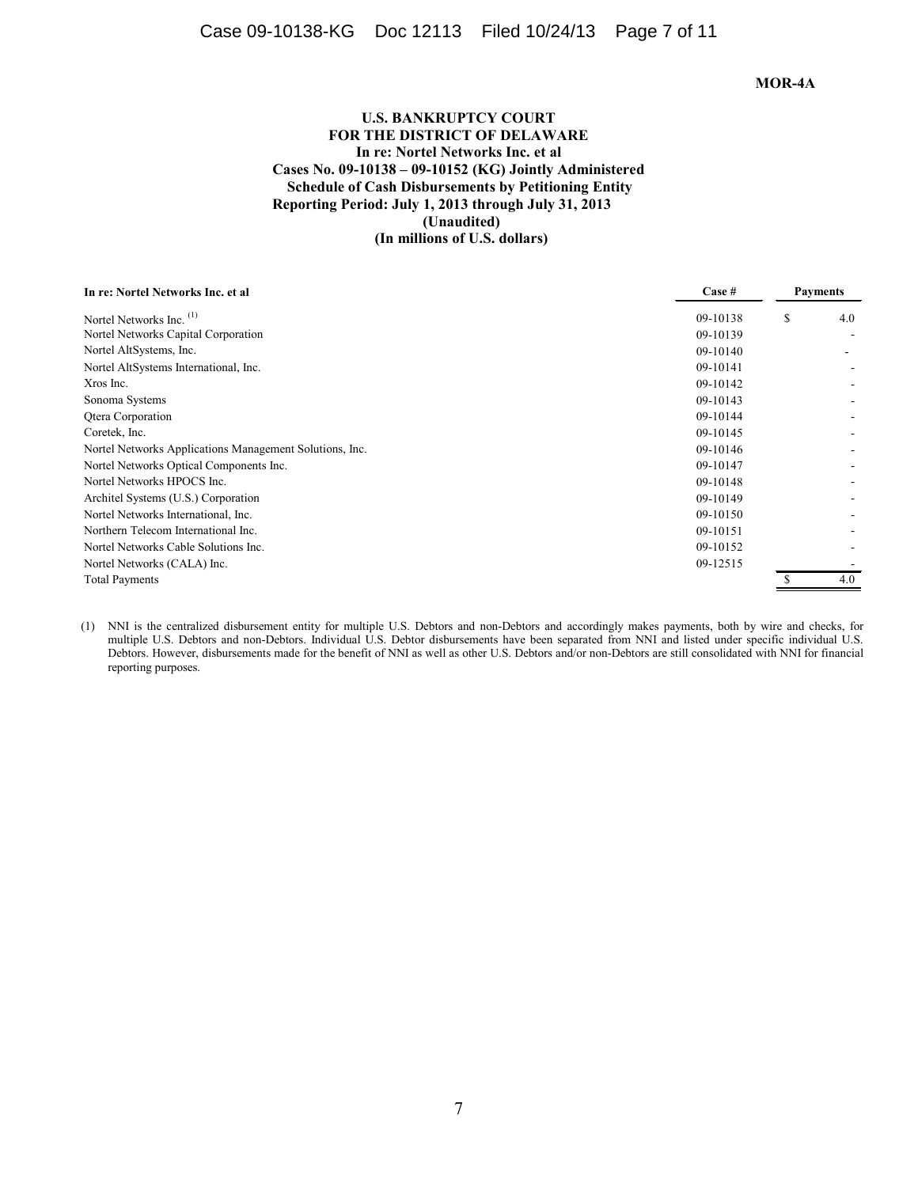### **MOR-4A**

## **U.S. BANKRUPTCY COURT FOR THE DISTRICT OF DELAWARE In re: Nortel Networks Inc. et al Cases No. 09-10138 – 09-10152 (KG) Jointly Administered Schedule of Cash Disbursements by Petitioning Entity Reporting Period: July 1, 2013 through July 31, 2013 (Unaudited) (In millions of U.S. dollars)**

| In re: Nortel Networks Inc. et al                       | Case #   |   | <b>Payments</b> |
|---------------------------------------------------------|----------|---|-----------------|
| Nortel Networks Inc. <sup>(1)</sup>                     | 09-10138 | S | 4.0             |
| Nortel Networks Capital Corporation                     | 09-10139 |   |                 |
| Nortel AltSystems, Inc.                                 | 09-10140 |   |                 |
| Nortel AltSystems International, Inc.                   | 09-10141 |   |                 |
| Xros Inc.                                               | 09-10142 |   |                 |
| Sonoma Systems                                          | 09-10143 |   |                 |
| Qtera Corporation                                       | 09-10144 |   |                 |
| Coretek, Inc.                                           | 09-10145 |   |                 |
| Nortel Networks Applications Management Solutions, Inc. | 09-10146 |   |                 |
| Nortel Networks Optical Components Inc.                 | 09-10147 |   |                 |
| Nortel Networks HPOCS Inc.                              | 09-10148 |   |                 |
| Architel Systems (U.S.) Corporation                     | 09-10149 |   |                 |
| Nortel Networks International, Inc.                     | 09-10150 |   |                 |
| Northern Telecom International Inc.                     | 09-10151 |   |                 |
| Nortel Networks Cable Solutions Inc.                    | 09-10152 |   |                 |
| Nortel Networks (CALA) Inc.                             | 09-12515 |   |                 |
| <b>Total Payments</b>                                   |          |   | 4.0             |

(1) NNI is the centralized disbursement entity for multiple U.S. Debtors and non-Debtors and accordingly makes payments, both by wire and checks, for multiple U.S. Debtors and non-Debtors. Individual U.S. Debtor disbursements have been separated from NNI and listed under specific individual U.S. Debtors. However, disbursements made for the benefit of NNI as well as other U.S. Debtors and/or non-Debtors are still consolidated with NNI for financial reporting purposes.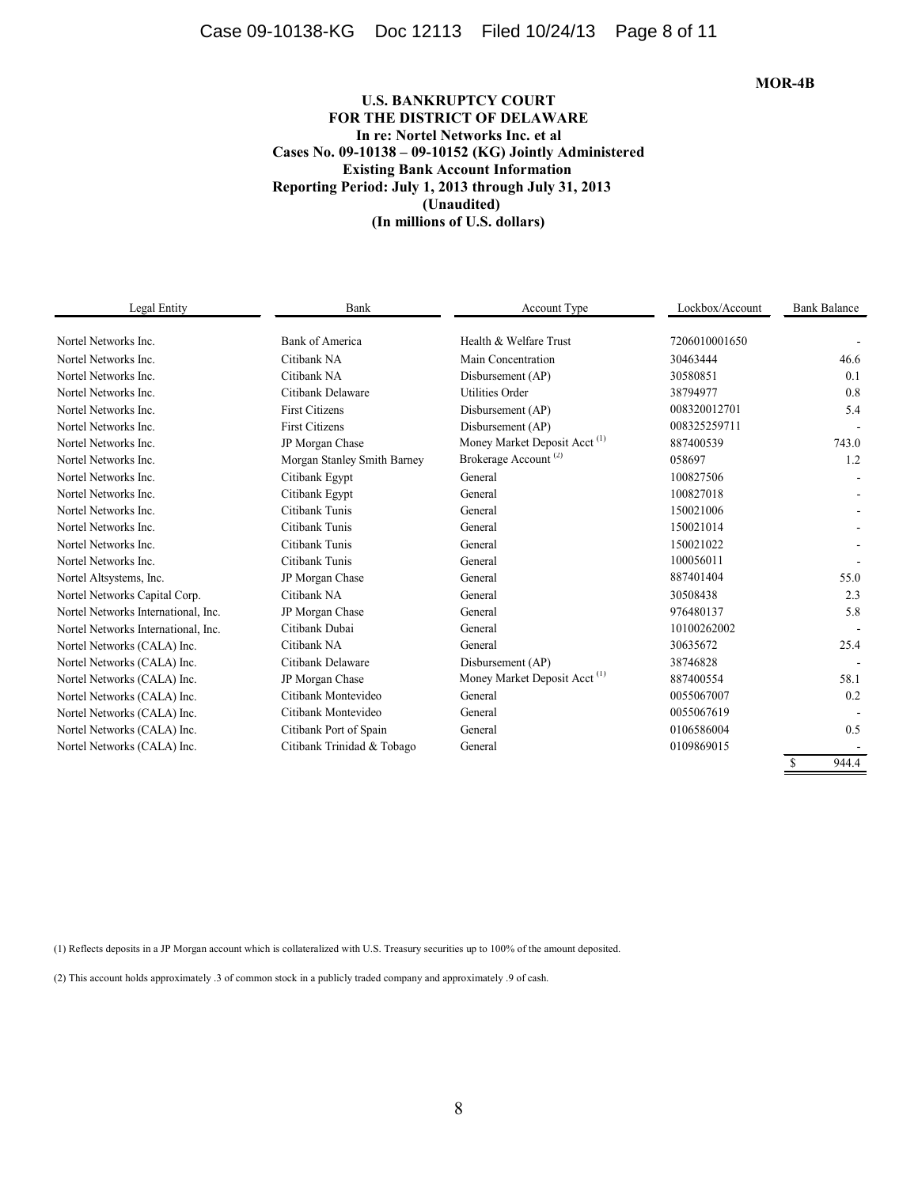# Case 09-10138-KG Doc 12113 Filed 10/24/13 Page 8 of 11

**MOR-4B**

## **U.S. BANKRUPTCY COURT FOR THE DISTRICT OF DELAWARE In re: Nortel Networks Inc. et al Cases No. 09-10138 – 09-10152 (KG) Jointly Administered Existing Bank Account Information Reporting Period: July 1, 2013 through July 31, 2013 (Unaudited) (In millions of U.S. dollars)**

| Legal Entity                        | Bank                        | Account Type                             | Lockbox/Account | <b>Bank Balance</b> |
|-------------------------------------|-----------------------------|------------------------------------------|-----------------|---------------------|
| Nortel Networks Inc.                | Bank of America             | Health & Welfare Trust                   | 7206010001650   |                     |
| Nortel Networks Inc.                | Citibank NA                 | Main Concentration                       | 30463444        | 46.6                |
| Nortel Networks Inc.                | Citibank NA                 | Disbursement (AP)                        | 30580851        | 0.1                 |
| Nortel Networks Inc.                | Citibank Delaware           | <b>Utilities Order</b>                   | 38794977        | 0.8                 |
| Nortel Networks Inc.                | <b>First Citizens</b>       | Disbursement (AP)                        | 008320012701    | 5.4                 |
| Nortel Networks Inc.                | <b>First Citizens</b>       | Disbursement (AP)                        | 008325259711    |                     |
| Nortel Networks Inc.                | JP Morgan Chase             | Money Market Deposit Acct <sup>(1)</sup> | 887400539       | 743.0               |
| Nortel Networks Inc.                | Morgan Stanley Smith Barney | Brokerage Account <sup>(2)</sup>         | 058697          | 1.2                 |
| Nortel Networks Inc.                | Citibank Egypt              | General                                  | 100827506       |                     |
| Nortel Networks Inc.                | Citibank Egypt              | General                                  | 100827018       |                     |
| Nortel Networks Inc.                | Citibank Tunis              | General                                  | 150021006       |                     |
| Nortel Networks Inc.                | Citibank Tunis              | General                                  | 150021014       |                     |
| Nortel Networks Inc.                | Citibank Tunis              | General                                  | 150021022       |                     |
| Nortel Networks Inc.                | Citibank Tunis              | General                                  | 100056011       |                     |
| Nortel Altsystems, Inc.             | JP Morgan Chase             | General                                  | 887401404       | 55.0                |
| Nortel Networks Capital Corp.       | Citibank NA                 | General                                  | 30508438        | 2.3                 |
| Nortel Networks International, Inc. | JP Morgan Chase             | General                                  | 976480137       | 5.8                 |
| Nortel Networks International, Inc. | Citibank Dubai              | General                                  | 10100262002     |                     |
| Nortel Networks (CALA) Inc.         | Citibank NA                 | General                                  | 30635672        | 25.4                |
| Nortel Networks (CALA) Inc.         | Citibank Delaware           | Disbursement (AP)                        | 38746828        |                     |
| Nortel Networks (CALA) Inc.         | JP Morgan Chase             | Money Market Deposit Acct <sup>(1)</sup> | 887400554       | 58.1                |
| Nortel Networks (CALA) Inc.         | Citibank Montevideo         | General                                  | 0055067007      | 0.2                 |
| Nortel Networks (CALA) Inc.         | Citibank Montevideo         | General                                  | 0055067619      |                     |
| Nortel Networks (CALA) Inc.         | Citibank Port of Spain      | General                                  | 0106586004      | 0.5                 |
| Nortel Networks (CALA) Inc.         | Citibank Trinidad & Tobago  | General                                  | 0109869015      |                     |
|                                     |                             |                                          |                 | <b>S</b><br>944.4   |

(1) Reflects deposits in a JP Morgan account which is collateralized with U.S. Treasury securities up to 100% of the amount deposited.

(2) This account holds approximately .3 of common stock in a publicly traded company and approximately .9 of cash.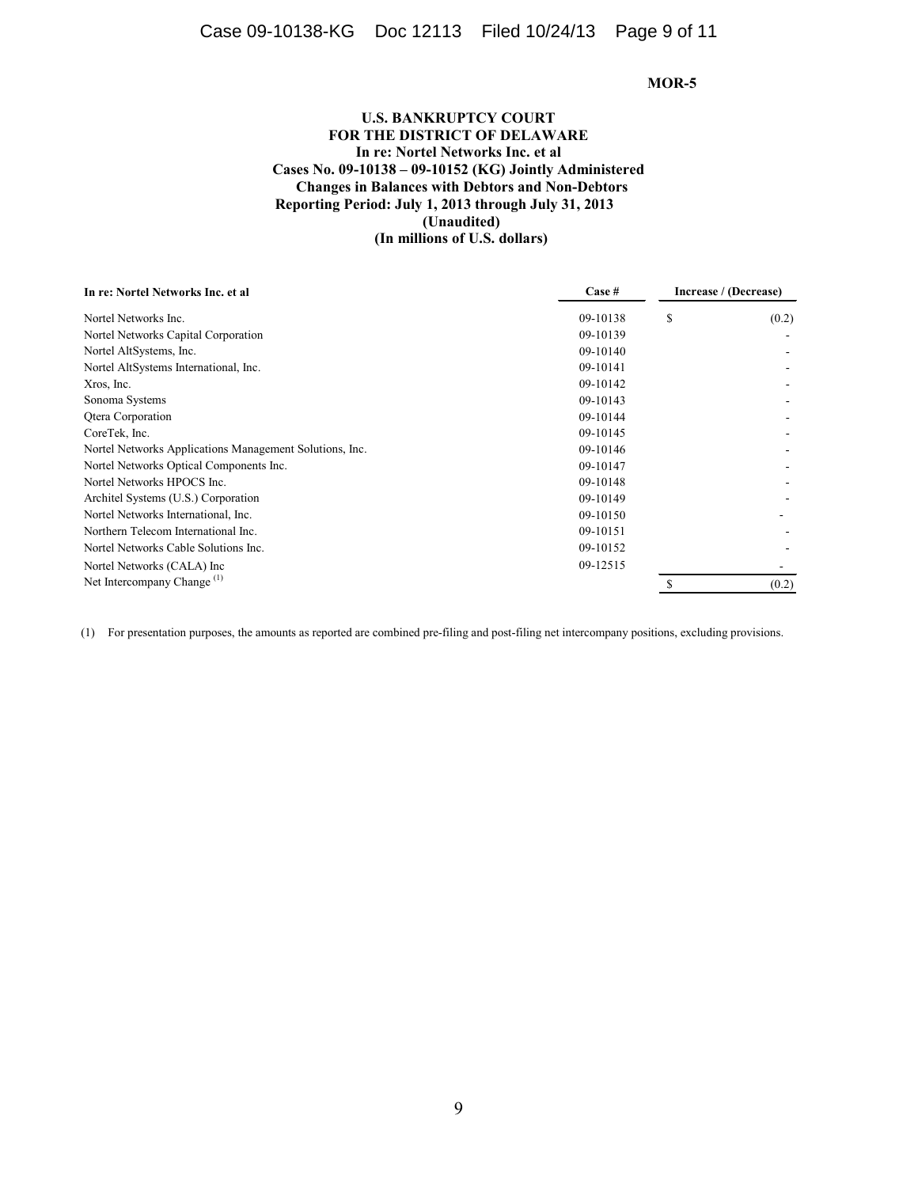## **U.S. BANKRUPTCY COURT FOR THE DISTRICT OF DELAWARE In re: Nortel Networks Inc. et al Cases No. 09-10138 – 09-10152 (KG) Jointly Administered Changes in Balances with Debtors and Non-Debtors Reporting Period: July 1, 2013 through July 31, 2013 (Unaudited) (In millions of U.S. dollars)**

| Case #   | Increase / (Decrease) |       |
|----------|-----------------------|-------|
| 09-10138 | S                     | (0.2) |
| 09-10139 |                       |       |
| 09-10140 |                       |       |
| 09-10141 |                       |       |
| 09-10142 |                       |       |
| 09-10143 |                       |       |
| 09-10144 |                       |       |
| 09-10145 |                       |       |
| 09-10146 |                       |       |
| 09-10147 |                       |       |
| 09-10148 |                       |       |
| 09-10149 |                       |       |
| 09-10150 |                       |       |
| 09-10151 |                       |       |
| 09-10152 |                       |       |
|          |                       |       |
|          |                       | (0.2) |
|          | 09-12515              |       |

(1) For presentation purposes, the amounts as reported are combined pre-filing and post-filing net intercompany positions, excluding provisions.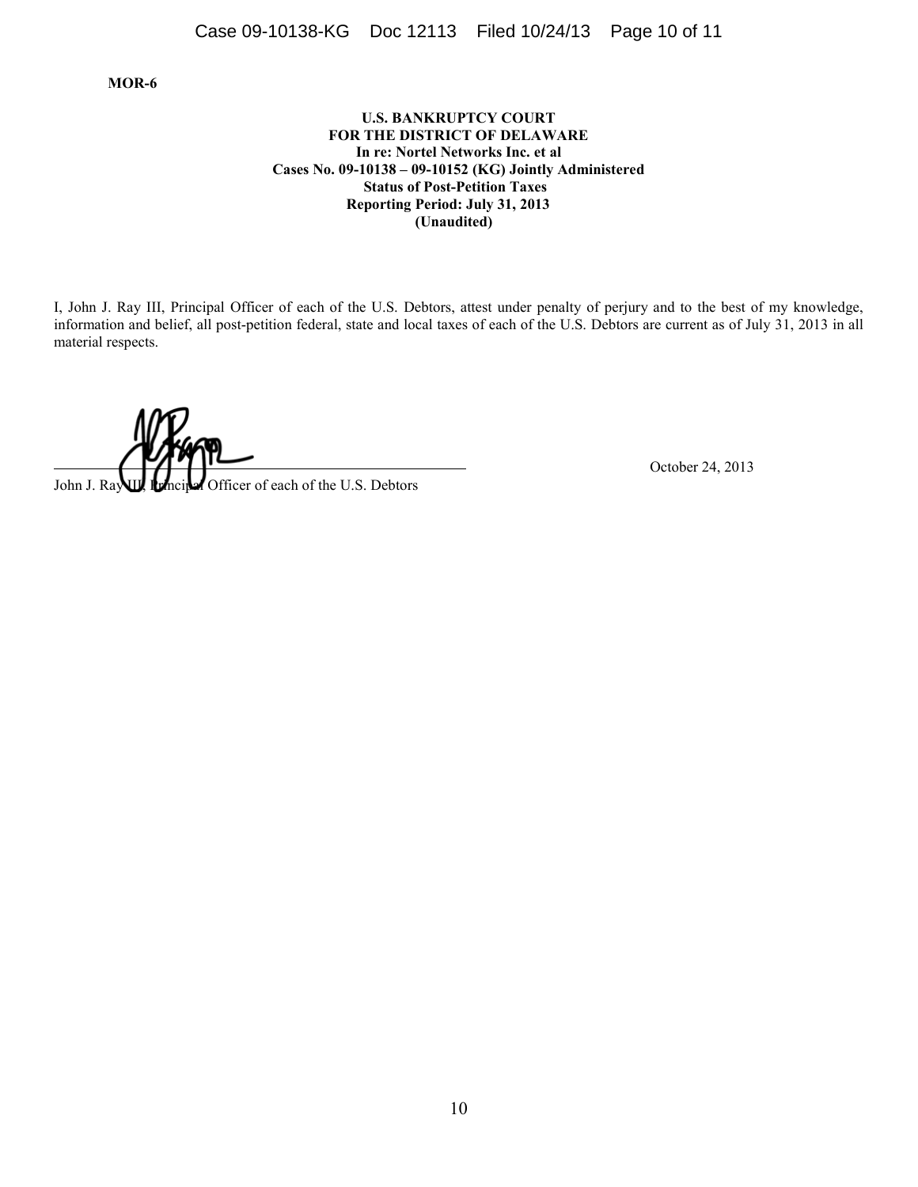## **U.S. BANKRUPTCY COURT FOR THE DISTRICT OF DELAWARE In re: Nortel Networks Inc. et al Cases No. 09-10138 – 09-10152 (KG) Jointly Administered Status of Post-Petition Taxes Reporting Period: July 31, 2013 (Unaudited)**

I, John J. Ray III, Principal Officer of each of the U.S. Debtors, attest under penalty of perjury and to the best of my knowledge, information and belief, all post-petition federal, state and local taxes of each of the U.S. Debtors are current as of July 31, 2013 in all material respects.

John J. Ray**up** Rencited Officer of each of the U.S. Debtors Officer of each of the U.S. Debtors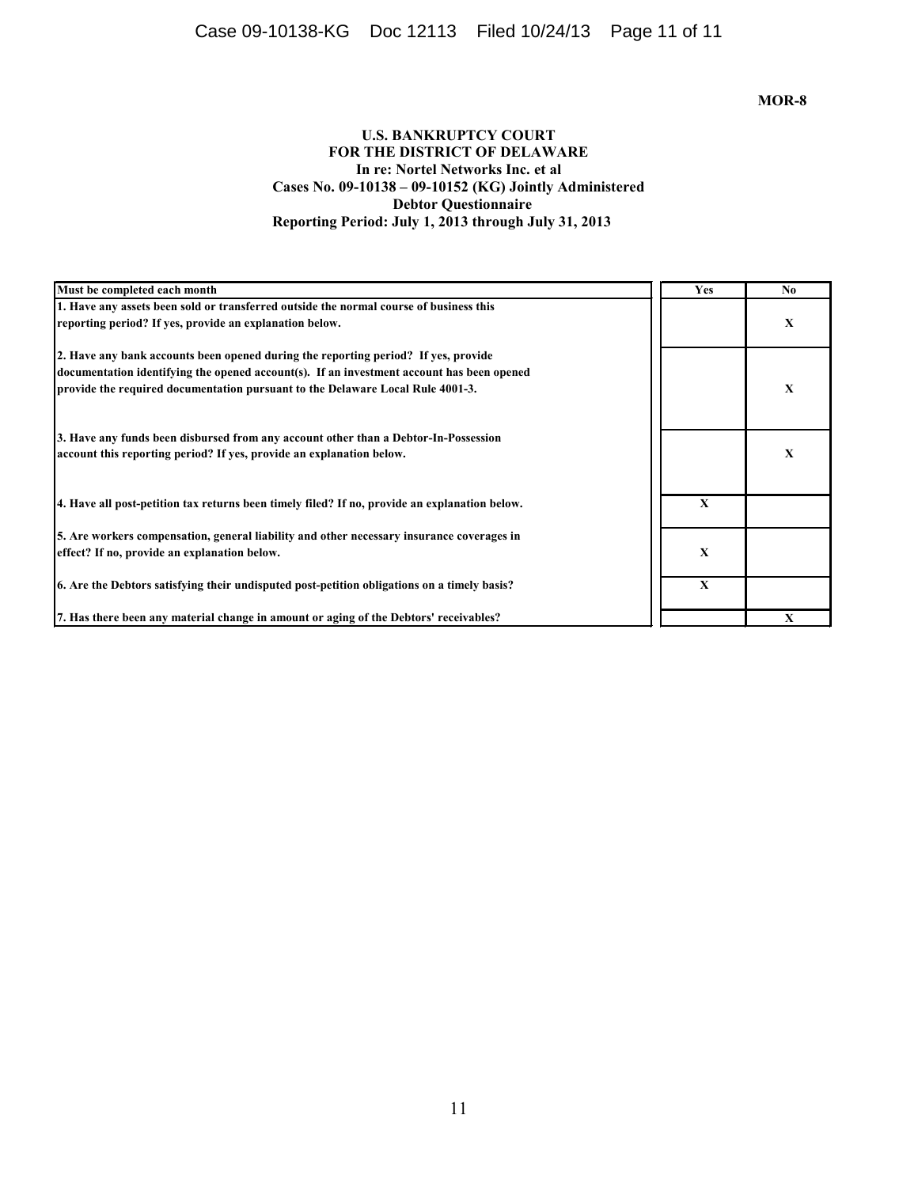# Case 09-10138-KG Doc 12113 Filed 10/24/13 Page 11 of 11

## **MOR-8**

## **U.S. BANKRUPTCY COURT FOR THE DISTRICT OF DELAWARE In re: Nortel Networks Inc. et al Cases No. 09-10138 – 09-10152 (KG) Jointly Administered Debtor Questionnaire Reporting Period: July 1, 2013 through July 31, 2013**

| Must be completed each month                                                                  | <b>Yes</b>  | N <sub>0</sub> |
|-----------------------------------------------------------------------------------------------|-------------|----------------|
| 1. Have any assets been sold or transferred outside the normal course of business this        |             |                |
| reporting period? If yes, provide an explanation below.                                       |             | X              |
| 2. Have any bank accounts been opened during the reporting period? If yes, provide            |             |                |
| documentation identifying the opened account(s). If an investment account has been opened     |             |                |
| provide the required documentation pursuant to the Delaware Local Rule 4001-3.                |             | X              |
| 3. Have any funds been disbursed from any account other than a Debtor-In-Possession           |             |                |
| account this reporting period? If yes, provide an explanation below.                          |             | X              |
| 4. Have all post-petition tax returns been timely filed? If no, provide an explanation below. | $\mathbf X$ |                |
| 5. Are workers compensation, general liability and other necessary insurance coverages in     |             |                |
| effect? If no, provide an explanation below.                                                  | $\mathbf X$ |                |
| 6. Are the Debtors satisfying their undisputed post-petition obligations on a timely basis?   | X           |                |
| 7. Has there been any material change in amount or aging of the Debtors' receivables?         |             | X              |